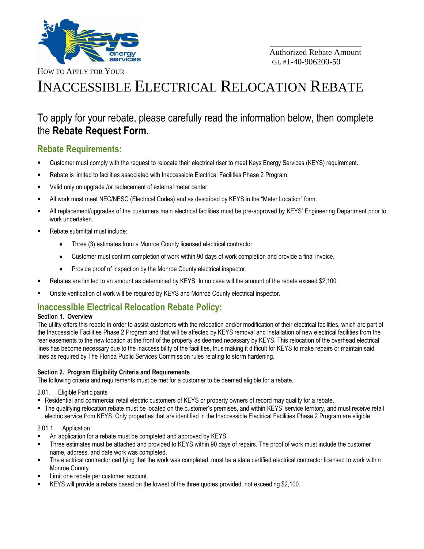

\_\_\_\_\_\_\_\_\_\_\_\_\_\_\_\_\_\_\_\_\_\_

HOW TO APPLY FOR YOUR

# INACCESSIBLE ELECTRICAL RELOCATION REBATE

## To apply for your rebate, please carefully read the information below, then complete the **Rebate Request Form**.

### **Rebate Requirements:**

- Customer must comply with the request to relocate their electrical riser to meet Keys Energy Services (KEYS) requirement.
- Rebate is limited to facilities associated with Inaccessible Electrical Facilities Phase 2 Program.
- Valid only on upgrade /or replacement of external meter center.
- All work must meet NEC/NESC (Electrical Codes) and as described by KEYS in the "Meter Location" form.
- All replacement/upgrades of the customers main electrical facilities must be pre-approved by KEYS' Engineering Department prior to work undertaken.
- Rebate submittal must include:
	- Three (3) estimates from a Monroe County licensed electrical contractor.
	- Customer must confirm completion of work within 90 days of work completion and provide a final invoice.
	- Provide proof of inspection by the Monroe County electrical inspector.
- Rebates are limited to an amount as determined by KEYS. In no case will the amount of the rebate exceed \$2,100.
- Onsite verification of work will be required by KEYS and Monroe County electrical inspector.

### **Inaccessible Electrical Relocation Rebate Policy:**

### **Section 1. Overview**

The utility offers this rebate in order to assist customers with the relocation and/or modification of their electrical facilities, which are part of the Inaccessible Facilities Phase 2 Program and that will be affected by KEYS removal and installation of new electrical facilities from the rear easements to the new location at the front of the property as deemed necessary by KEYS. This relocation of the overhead electrical lines has become necessary due to the inaccessibility of the facilities, thus making it difficult for KEYS to make repairs or maintain said lines as required by The Florida Public Services Commission rules relating to storm hardening.

### **Section 2. Program Eligibility Criteria and Requirements**

The following criteria and requirements must be met for a customer to be deemed eligible for a rebate.

2.01. Eligible Participants

- Residential and commercial retail electric customers of KEYS or property owners of record may qualify for a rebate.
- The qualifying relocation rebate must be located on the customer's premises, and within KEYS' service territory, and must receive retail electric service from KEYS. Only properties that are identified in the Inaccessible Electrical Facilities Phase 2 Program are eligible.

### 2.01.1 Application

- An application for a rebate must be completed and approved by KEYS.
- Three estimates must be attached and provided to KEYS within 90 days of repairs. The proof of work must include the customer name, address, and date work was completed.
- The electrical contractor certifying that the work was completed, must be a state certified electrical contractor licensed to work within Monroe County.
- Limit one rebate per customer account.
- KEYS will provide a rebate based on the lowest of the three quotes provided, not exceeding \$2,100.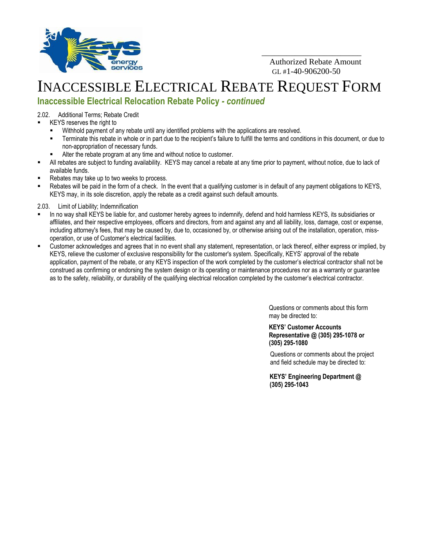

 Authorized Rebate Amount  $GL#1-40-906200-50$ 

\_\_\_\_\_\_\_\_\_\_\_\_\_\_\_\_\_\_\_\_\_\_\_\_

## INACCESSIBLE ELECTRICAL REBATE REQUEST FORM

## **Inaccessible Electrical Relocation Rebate Policy** *- continued*

2.02. Additional Terms; Rebate Credit

- KEYS reserves the right to
	- Withhold payment of any rebate until any identified problems with the applications are resolved.
	- Terminate this rebate in whole or in part due to the recipient's failure to fulfill the terms and conditions in this document, or due to non-appropriation of necessary funds.
	- Alter the rebate program at any time and without notice to customer.
- All rebates are subject to funding availability. KEYS may cancel a rebate at any time prior to payment, without notice, due to lack of available funds.
- Rebates may take up to two weeks to process.
- Rebates will be paid in the form of a check. In the event that a qualifying customer is in default of any payment obligations to KEYS, KEYS may, in its sole discretion, apply the rebate as a credit against such default amounts.
- 2.03. Limit of Liability; Indemnification
- In no way shall KEYS be liable for, and customer hereby agrees to indemnify, defend and hold harmless KEYS, its subsidiaries or affiliates, and their respective employees, officers and directors, from and against any and all liability, loss, damage, cost or expense, including attorney's fees, that may be caused by, due to, occasioned by, or otherwise arising out of the installation, operation, missoperation, or use of Customer's electrical facilities.
- Customer acknowledges and agrees that in no event shall any statement, representation, or lack thereof, either express or implied, by KEYS, relieve the customer of exclusive responsibility for the customer's system. Specifically, KEYS' approval of the rebate application, payment of the rebate, or any KEYS inspection of the work completed by the customer's electrical contractor shall not be construed as confirming or endorsing the system design or its operating or maintenance procedures nor as a warranty or guarantee as to the safety, reliability, or durability of the qualifying electrical relocation completed by the customer's electrical contractor.

Questions or comments about this form may be directed to:

#### **KEYS' Customer Accounts Representative @ (305) 295-1078 or (305) 295-1080**

Questions or comments about the project and field schedule may be directed to:

**KEYS' Engineering Department @ (305) 295-1043**